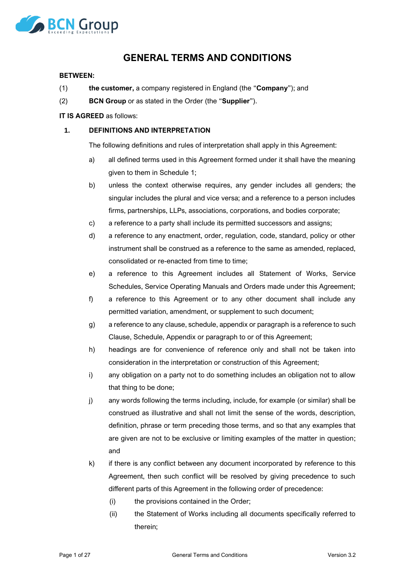

# **GENERAL TERMS AND CONDITIONS**

#### **BETWEEN:**

- (1) **the customer,** a company registered in England (the "**Company**"); and
- (2) **BCN Group** or as stated in the Order (the "**Supplier**").

### **IT IS AGREED** as follows:

# **1. DEFINITIONS AND INTERPRETATION**

The following definitions and rules of interpretation shall apply in this Agreement:

- a) all defined terms used in this Agreement formed under it shall have the meaning given to them in Schedule 1;
- b) unless the context otherwise requires, any gender includes all genders; the singular includes the plural and vice versa; and a reference to a person includes firms, partnerships, LLPs, associations, corporations, and bodies corporate;
- c) a reference to a party shall include its permitted successors and assigns;
- d) a reference to any enactment, order, regulation, code, standard, policy or other instrument shall be construed as a reference to the same as amended, replaced, consolidated or re-enacted from time to time;
- e) a reference to this Agreement includes all Statement of Works, Service Schedules, Service Operating Manuals and Orders made under this Agreement;
- f) a reference to this Agreement or to any other document shall include any permitted variation, amendment, or supplement to such document;
- g) a reference to any clause, schedule, appendix or paragraph is a reference to such Clause, Schedule, Appendix or paragraph to or of this Agreement;
- h) headings are for convenience of reference only and shall not be taken into consideration in the interpretation or construction of this Agreement;
- i) any obligation on a party not to do something includes an obligation not to allow that thing to be done;
- j) any words following the terms including, include, for example (or similar) shall be construed as illustrative and shall not limit the sense of the words, description, definition, phrase or term preceding those terms, and so that any examples that are given are not to be exclusive or limiting examples of the matter in question; and
- k) if there is any conflict between any document incorporated by reference to this Agreement, then such conflict will be resolved by giving precedence to such different parts of this Agreement in the following order of precedence:
	- (i) the provisions contained in the Order;
	- (ii) the Statement of Works including all documents specifically referred to therein;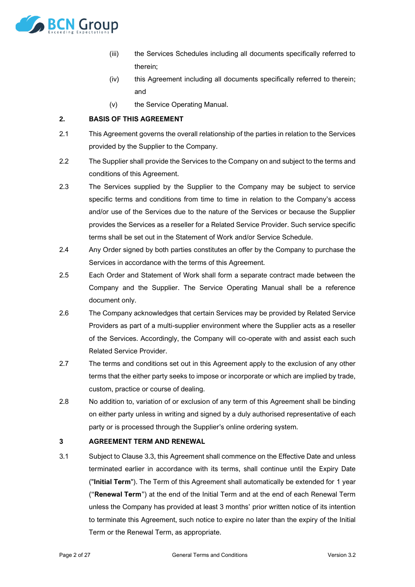

- (iii) the Services Schedules including all documents specifically referred to therein;
- (iv) this Agreement including all documents specifically referred to therein; and
- (v) the Service Operating Manual.

# <span id="page-1-1"></span>**2. BASIS OF THIS AGREEMENT**

- 2.1 This Agreement governs the overall relationship of the parties in relation to the Services provided by the Supplier to the Company.
- 2.2 The Supplier shall provide the Services to the Company on and subject to the terms and conditions of this Agreement.
- 2.3 The Services supplied by the Supplier to the Company may be subject to service specific terms and conditions from time to time in relation to the Company's access and/or use of the Services due to the nature of the Services or because the Supplier provides the Services as a reseller for a Related Service Provider. Such service specific terms shall be set out in the Statement of Work and/or Service Schedule.
- 2.4 Any Order signed by both parties constitutes an offer by the Company to purchase the Services in accordance with the terms of this Agreement.
- 2.5 Each Order and Statement of Work shall form a separate contract made between the Company and the Supplier. The Service Operating Manual shall be a reference document only.
- 2.6 The Company acknowledges that certain Services may be provided by Related Service Providers as part of a multi-supplier environment where the Supplier acts as a reseller of the Services. Accordingly, the Company will co-operate with and assist each such Related Service Provider.
- 2.7 The terms and conditions set out in this Agreement apply to the exclusion of any other terms that the either party seeks to impose or incorporate or which are implied by trade, custom, practice or course of dealing.
- 2.8 No addition to, variation of or exclusion of any term of this Agreement shall be binding on either party unless in writing and signed by a duly authorised representative of each party or is processed through the Supplier's online ordering system.

### **3 AGREEMENT TERM AND RENEWAL**

<span id="page-1-0"></span>3.1 Subject to Clause [3.3,](#page-2-0) this Agreement shall commence on the Effective Date and unless terminated earlier in accordance with its terms, shall continue until the Expiry Date ("**Initial Term**"). The Term of this Agreement shall automatically be extended for 1 year ("**Renewal Term**") at the end of the Initial Term and at the end of each Renewal Term unless the Company has provided at least 3 months' prior written notice of its intention to terminate this Agreement, such notice to expire no later than the expiry of the Initial Term or the Renewal Term, as appropriate.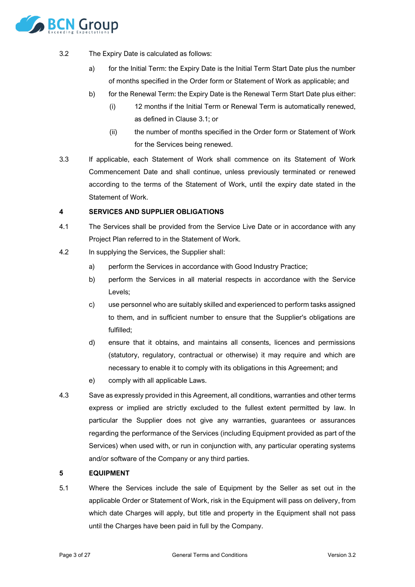

- <span id="page-2-1"></span>3.2 The Expiry Date is calculated as follows:
	- a) for the Initial Term: the Expiry Date is the Initial Term Start Date plus the number of months specified in the Order form or Statement of Work as applicable; and
	- b) for the Renewal Term: the Expiry Date is the Renewal Term Start Date plus either:
		- (i) 12 months if the Initial Term or Renewal Term is automatically renewed, as defined in Clause [3.1;](#page-1-0) or
		- (ii) the number of months specified in the Order form or Statement of Work for the Services being renewed.
- <span id="page-2-0"></span>3.3 If applicable, each Statement of Work shall commence on its Statement of Work Commencement Date and shall continue, unless previously terminated or renewed according to the terms of the Statement of Work, until the expiry date stated in the Statement of Work.

#### **4 SERVICES AND SUPPLIER OBLIGATIONS**

- 4.1 The Services shall be provided from the Service Live Date or in accordance with any Project Plan referred to in the Statement of Work.
- 4.2 In supplying the Services, the Supplier shall:
	- a) perform the Services in accordance with Good Industry Practice;
	- b) perform the Services in all material respects in accordance with the Service Levels;
	- c) use personnel who are suitably skilled and experienced to perform tasks assigned to them, and in sufficient number to ensure that the Supplier's obligations are fulfilled;
	- d) ensure that it obtains, and maintains all consents, licences and permissions (statutory, regulatory, contractual or otherwise) it may require and which are necessary to enable it to comply with its obligations in this Agreement; and
	- e) comply with all applicable Laws.
- 4.3 Save as expressly provided in this Agreement, all conditions, warranties and other terms express or implied are strictly excluded to the fullest extent permitted by law. In particular the Supplier does not give any warranties, guarantees or assurances regarding the performance of the Services (including Equipment provided as part of the Services) when used with, or run in conjunction with, any particular operating systems and/or software of the Company or any third parties.

#### **5 EQUIPMENT**

5.1 Where the Services include the sale of Equipment by the Seller as set out in the applicable Order or Statement of Work, risk in the Equipment will pass on delivery, from which date Charges will apply, but title and property in the Equipment shall not pass until the Charges have been paid in full by the Company.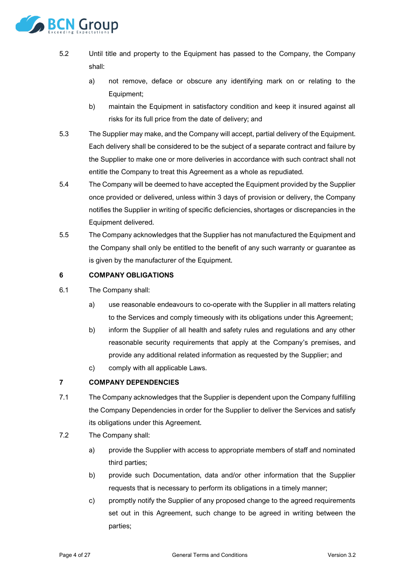

- 5.2 Until title and property to the Equipment has passed to the Company, the Company shall:
	- a) not remove, deface or obscure any identifying mark on or relating to the Equipment;
	- b) maintain the Equipment in satisfactory condition and keep it insured against all risks for its full price from the date of delivery; and
- 5.3 The Supplier may make, and the Company will accept, partial delivery of the Equipment. Each delivery shall be considered to be the subject of a separate contract and failure by the Supplier to make one or more deliveries in accordance with such contract shall not entitle the Company to treat this Agreement as a whole as repudiated.
- 5.4 The Company will be deemed to have accepted the Equipment provided by the Supplier once provided or delivered, unless within 3 days of provision or delivery, the Company notifies the Supplier in writing of specific deficiencies, shortages or discrepancies in the Equipment delivered.
- 5.5 The Company acknowledges that the Supplier has not manufactured the Equipment and the Company shall only be entitled to the benefit of any such warranty or guarantee as is given by the manufacturer of the Equipment.

#### **6 COMPANY OBLIGATIONS**

- 6.1 The Company shall:
	- a) use reasonable endeavours to co-operate with the Supplier in all matters relating to the Services and comply timeously with its obligations under this Agreement;
	- b) inform the Supplier of all health and safety rules and regulations and any other reasonable security requirements that apply at the Company's premises, and provide any additional related information as requested by the Supplier; and
	- c) comply with all applicable Laws.

# **7 COMPANY DEPENDENCIES**

- 7.1 The Company acknowledges that the Supplier is dependent upon the Company fulfilling the Company Dependencies in order for the Supplier to deliver the Services and satisfy its obligations under this Agreement.
- <span id="page-3-0"></span>7.2 The Company shall:
	- a) provide the Supplier with access to appropriate members of staff and nominated third parties;
	- b) provide such Documentation, data and/or other information that the Supplier requests that is necessary to perform its obligations in a timely manner;
	- c) promptly notify the Supplier of any proposed change to the agreed requirements set out in this Agreement, such change to be agreed in writing between the parties;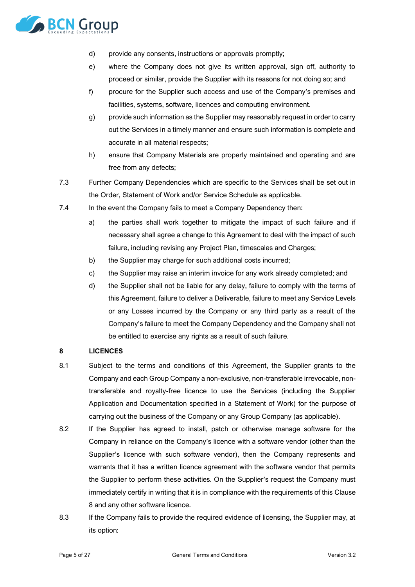

- d) provide any consents, instructions or approvals promptly;
- e) where the Company does not give its written approval, sign off, authority to proceed or similar, provide the Supplier with its reasons for not doing so; and
- f) procure for the Supplier such access and use of the Company's premises and facilities, systems, software, licences and computing environment.
- g) provide such information as the Supplier may reasonably request in order to carry out the Services in a timely manner and ensure such information is complete and accurate in all material respects;
- h) ensure that Company Materials are properly maintained and operating and are free from any defects;
- 7.3 Further Company Dependencies which are specific to the Services shall be set out in the Order, Statement of Work and/or Service Schedule as applicable.
- 7.4 In the event the Company fails to meet a Company Dependency then:
	- a) the parties shall work together to mitigate the impact of such failure and if necessary shall agree a change to this Agreement to deal with the impact of such failure, including revising any Project Plan, timescales and Charges;
	- b) the Supplier may charge for such additional costs incurred;
	- c) the Supplier may raise an interim invoice for any work already completed; and
	- d) the Supplier shall not be liable for any delay, failure to comply with the terms of this Agreement, failure to deliver a Deliverable, failure to meet any Service Levels or any Losses incurred by the Company or any third party as a result of the Company's failure to meet the Company Dependency and the Company shall not be entitled to exercise any rights as a result of such failure.

### <span id="page-4-0"></span>**8 LICENCES**

- <span id="page-4-1"></span>8.1 Subject to the terms and conditions of this Agreement, the Supplier grants to the Company and each Group Company a non-exclusive, non-transferable irrevocable, nontransferable and royalty-free licence to use the Services (including the Supplier Application and Documentation specified in a Statement of Work) for the purpose of carrying out the business of the Company or any Group Company (as applicable).
- 8.2 If the Supplier has agreed to install, patch or otherwise manage software for the Company in reliance on the Company's licence with a software vendor (other than the Supplier's licence with such software vendor), then the Company represents and warrants that it has a written licence agreement with the software vendor that permits the Supplier to perform these activities. On the Supplier's request the Company must immediately certify in writing that it is in compliance with the requirements of this Clause [8](#page-4-0) and any other software licence.
- 8.3 If the Company fails to provide the required evidence of licensing, the Supplier may, at its option: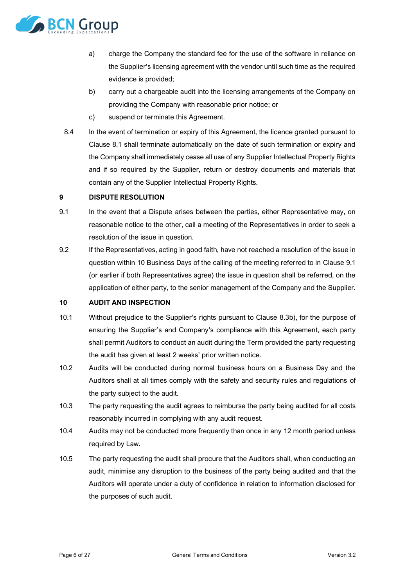

- a) charge the Company the standard fee for the use of the software in reliance on the Supplier's licensing agreement with the vendor until such time as the required evidence is provided;
- <span id="page-5-1"></span>b) carry out a chargeable audit into the licensing arrangements of the Company on providing the Company with reasonable prior notice; or
- c) suspend or terminate this Agreement.
- 8.4 In the event of termination or expiry of this Agreement, the licence granted pursuant to Clause [8.1](#page-4-1) shall terminate automatically on the date of such termination or expiry and the Company shall immediately cease all use of any Supplier Intellectual Property Rights and if so required by the Supplier, return or destroy documents and materials that contain any of the Supplier Intellectual Property Rights.

# **9 DISPUTE RESOLUTION**

- <span id="page-5-0"></span>9.1 In the event that a Dispute arises between the parties, either Representative may, on reasonable notice to the other, call a meeting of the Representatives in order to seek a resolution of the issue in question.
- 9.2 If the Representatives, acting in good faith, have not reached a resolution of the issue in question within 10 Business Days of the calling of the meeting referred to in Clause [9.1](#page-5-0) (or earlier if both Representatives agree) the issue in question shall be referred, on the application of either party, to the senior management of the Company and the Supplier.

# <span id="page-5-2"></span>**10 AUDIT AND INSPECTION**

- 10.1 Without prejudice to the Supplier's rights pursuant to Clause [8.3b\),](#page-5-1) for the purpose of ensuring the Supplier's and Company's compliance with this Agreement, each party shall permit Auditors to conduct an audit during the Term provided the party requesting the audit has given at least 2 weeks' prior written notice.
- 10.2 Audits will be conducted during normal business hours on a Business Day and the Auditors shall at all times comply with the safety and security rules and regulations of the party subject to the audit.
- 10.3 The party requesting the audit agrees to reimburse the party being audited for all costs reasonably incurred in complying with any audit request.
- 10.4 Audits may not be conducted more frequently than once in any 12 month period unless required by Law.
- 10.5 The party requesting the audit shall procure that the Auditors shall, when conducting an audit, minimise any disruption to the business of the party being audited and that the Auditors will operate under a duty of confidence in relation to information disclosed for the purposes of such audit.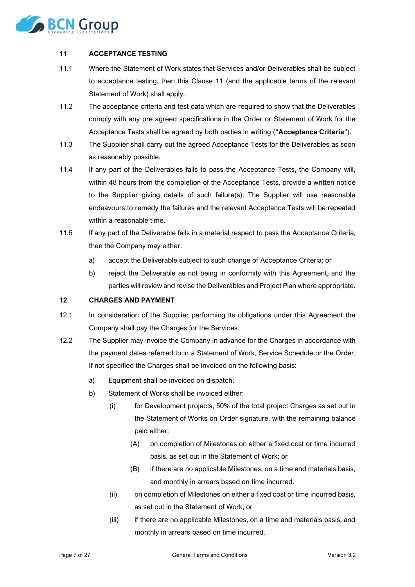

# <span id="page-6-0"></span>**11 ACCEPTANCE TESTING**

- 11.1 Where the Statement of Work states that Services and/or Deliverables shall be subject to acceptance testing, then this Clause [11](#page-6-0) (and the applicable terms of the relevant Statement of Work) shall apply.
- <span id="page-6-2"></span>11.2 The acceptance criteria and test data which are required to show that the Deliverables comply with any pre agreed specifications in the Order or Statement of Work for the Acceptance Tests shall be agreed by both parties in writing ("**Acceptance Criteria**").
- 11.3 The Supplier shall carry out the agreed Acceptance Tests for the Deliverables as soon as reasonably possible.
- 11.4 If any part of the Deliverables fails to pass the Acceptance Tests, the Company will, within 48 hours from the completion of the Acceptance Tests, provide a written notice to the Supplier giving details of such failure(s). The Supplier will use reasonable endeavours to remedy the failures and the relevant Acceptance Tests will be repeated within a reasonable time.
- 11.5 If any part of the Deliverable fails in a material respect to pass the Acceptance Criteria, then the Company may either:
	- a) accept the Deliverable subject to such change of Acceptance Criteria; or
	- b) reject the Deliverable as not being in conformity with this Agreement, and the parties will review and revise the Deliverables and Project Plan where appropriate.

### <span id="page-6-1"></span>**12 CHARGES AND PAYMENT**

- 12.1 In consideration of the Supplier performing its obligations under this Agreement the Company shall pay the Charges for the Services.
- 12.2 The Supplier may invoice the Company in advance for the Charges in accordance with the payment dates referred to in a Statement of Work, Service Schedule or the Order. If not specified the Charges shall be invoiced on the following basis:
	- a) Equipment shall be invoiced on dispatch;
	- b) Statement of Works shall be invoiced either:
		- (i) for Development projects, 50% of the total project Charges as set out in the Statement of Works on Order signature, with the remaining balance paid either:
			- (A) on completion of Milestones on either a fixed cost or time incurred basis, as set out in the Statement of Work; or
			- (B) if there are no applicable Milestones, on a time and materials basis, and monthly in arrears based on time incurred.
		- (ii) on completion of Milestones on either a fixed cost or time incurred basis, as set out in the Statement of Work; or
		- (iii) if there are no applicable Milestones, on a time and materials basis, and monthly in arrears based on time incurred.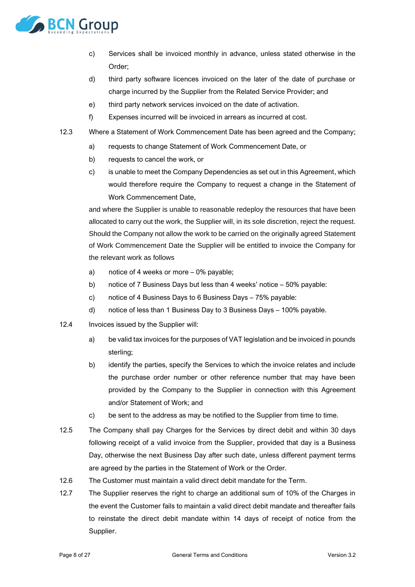

- c) Services shall be invoiced monthly in advance, unless stated otherwise in the Order;
- d) third party software licences invoiced on the later of the date of purchase or charge incurred by the Supplier from the Related Service Provider; and
- e) third party network services invoiced on the date of activation.
- f) Expenses incurred will be invoiced in arrears as incurred at cost.
- 12.3 Where a Statement of Work Commencement Date has been agreed and the Company;
	- a) requests to change Statement of Work Commencement Date, or
	- b) requests to cancel the work, or
	- c) is unable to meet the Company Dependencies as set out in this Agreement, which would therefore require the Company to request a change in the Statement of Work Commencement Date,

and where the Supplier is unable to reasonable redeploy the resources that have been allocated to carry out the work, the Supplier will, in its sole discretion, reject the request. Should the Company not allow the work to be carried on the originally agreed Statement of Work Commencement Date the Supplier will be entitled to invoice the Company for the relevant work as follows

- a) notice of 4 weeks or more 0% payable;
- b) notice of 7 Business Days but less than 4 weeks' notice 50% payable:
- c) notice of 4 Business Days to 6 Business Days 75% payable:
- d) notice of less than 1 Business Day to 3 Business Days 100% payable.
- 12.4 Invoices issued by the Supplier will:
	- a) be valid tax invoices for the purposes of VAT legislation and be invoiced in pounds sterling;
	- b) identify the parties, specify the Services to which the invoice relates and include the purchase order number or other reference number that may have been provided by the Company to the Supplier in connection with this Agreement and/or Statement of Work; and
	- c) be sent to the address as may be notified to the Supplier from time to time.
- 12.5 The Company shall pay Charges for the Services by direct debit and within 30 days following receipt of a valid invoice from the Supplier, provided that day is a Business Day, otherwise the next Business Day after such date, unless different payment terms are agreed by the parties in the Statement of Work or the Order.
- 12.6 The Customer must maintain a valid direct debit mandate for the Term.
- 12.7 The Supplier reserves the right to charge an additional sum of 10% of the Charges in the event the Customer fails to maintain a valid direct debit mandate and thereafter fails to reinstate the direct debit mandate within 14 days of receipt of notice from the Supplier.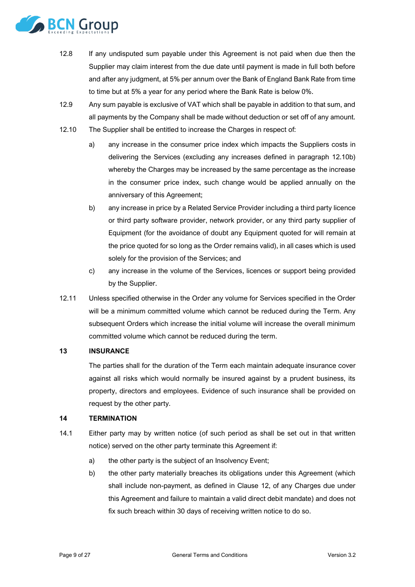

- 12.8 If any undisputed sum payable under this Agreement is not paid when due then the Supplier may claim interest from the due date until payment is made in full both before and after any judgment, at 5% per annum over the Bank of England Bank Rate from time to time but at 5% a year for any period where the Bank Rate is below 0%.
- 12.9 Any sum payable is exclusive of VAT which shall be payable in addition to that sum, and all payments by the Company shall be made without deduction or set off of any amount.
- <span id="page-8-0"></span>12.10 The Supplier shall be entitled to increase the Charges in respect of:
	- a) any increase in the consumer price index which impacts the Suppliers costs in delivering the Services (excluding any increases defined in paragraph [12.10b\)](#page-8-0) whereby the Charges may be increased by the same percentage as the increase in the consumer price index, such change would be applied annually on the anniversary of this Agreement;
	- b) any increase in price by a Related Service Provider including a third party licence or third party software provider, network provider, or any third party supplier of Equipment (for the avoidance of doubt any Equipment quoted for will remain at the price quoted for so long as the Order remains valid), in all cases which is used solely for the provision of the Services; and
	- c) any increase in the volume of the Services, licences or support being provided by the Supplier.
- 12.11 Unless specified otherwise in the Order any volume for Services specified in the Order will be a minimum committed volume which cannot be reduced during the Term. Any subsequent Orders which increase the initial volume will increase the overall minimum committed volume which cannot be reduced during the term.

### **13 INSURANCE**

The parties shall for the duration of the Term each maintain adequate insurance cover against all risks which would normally be insured against by a prudent business, its property, directors and employees. Evidence of such insurance shall be provided on request by the other party.

#### **14 TERMINATION**

- <span id="page-8-1"></span>14.1 Either party may by written notice (of such period as shall be set out in that written notice) served on the other party terminate this Agreement if:
	- a) the other party is the subject of an Insolvency Event;
	- b) the other party materially breaches its obligations under this Agreement (which shall include non-payment, as defined in Clause [12,](#page-6-1) of any Charges due under this Agreement and failure to maintain a valid direct debit mandate) and does not fix such breach within 30 days of receiving written notice to do so.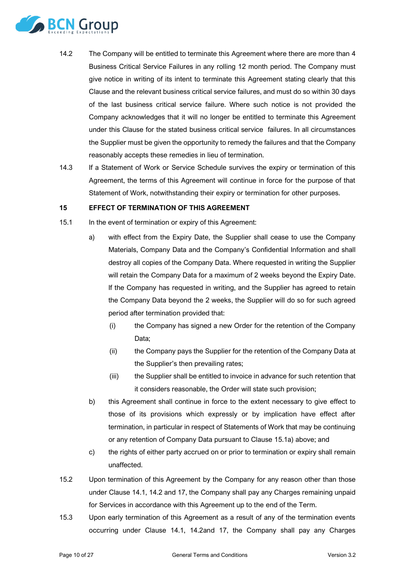

- <span id="page-9-1"></span>14.2 The Company will be entitled to terminate this Agreement where there are more than 4 Business Critical Service Failures in any rolling 12 month period. The Company must give notice in writing of its intent to terminate this Agreement stating clearly that this Clause and the relevant business critical service failures, and must do so within 30 days of the last business critical service failure. Where such notice is not provided the Company acknowledges that it will no longer be entitled to terminate this Agreement under this Clause for the stated business critical service failures. In all circumstances the Supplier must be given the opportunity to remedy the failures and that the Company reasonably accepts these remedies in lieu of termination.
- 14.3 If a Statement of Work or Service Schedule survives the expiry or termination of this Agreement, the terms of this Agreement will continue in force for the purpose of that Statement of Work, notwithstanding their expiry or termination for other purposes.

#### **15 EFFECT OF TERMINATION OF THIS AGREEMENT**

- <span id="page-9-0"></span>15.1 In the event of termination or expiry of this Agreement:
	- a) with effect from the Expiry Date, the Supplier shall cease to use the Company Materials, Company Data and the Company's Confidential Information and shall destroy all copies of the Company Data. Where requested in writing the Supplier will retain the Company Data for a maximum of 2 weeks beyond the Expiry Date. If the Company has requested in writing, and the Supplier has agreed to retain the Company Data beyond the 2 weeks, the Supplier will do so for such agreed period after termination provided that:
		- (i) the Company has signed a new Order for the retention of the Company Data;
		- (ii) the Company pays the Supplier for the retention of the Company Data at the Supplier's then prevailing rates;
		- (iii) the Supplier shall be entitled to invoice in advance for such retention that it considers reasonable, the Order will state such provision;
	- b) this Agreement shall continue in force to the extent necessary to give effect to those of its provisions which expressly or by implication have effect after termination, in particular in respect of Statements of Work that may be continuing or any retention of Company Data pursuant to Clause [15.1a\)](#page-9-0) above; and
	- c) the rights of either party accrued on or prior to termination or expiry shall remain unaffected.
- 15.2 Upon termination of this Agreement by the Company for any reason other than those under Clause [14.1,](#page-8-1) [14.2](#page-9-1) and [17,](#page-10-0) the Company shall pay any Charges remaining unpaid for Services in accordance with this Agreement up to the end of the Term.
- 15.3 Upon early termination of this Agreement as a result of any of the termination events occurring under Clause [14.1,](#page-8-1) [14.2a](#page-9-1)nd [17,](#page-10-0) the Company shall pay any Charges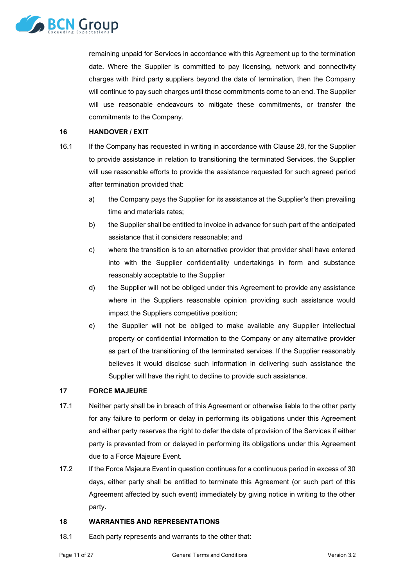

remaining unpaid for Services in accordance with this Agreement up to the termination date. Where the Supplier is committed to pay licensing, network and connectivity charges with third party suppliers beyond the date of termination, then the Company will continue to pay such charges until those commitments come to an end. The Supplier will use reasonable endeavours to mitigate these commitments, or transfer the commitments to the Company.

#### **16 HANDOVER / EXIT**

- 16.1 If the Company has requested in writing in accordance with Clause [28,](#page-16-0) for the Supplier to provide assistance in relation to transitioning the terminated Services, the Supplier will use reasonable efforts to provide the assistance requested for such agreed period after termination provided that:
	- a) the Company pays the Supplier for its assistance at the Supplier's then prevailing time and materials rates;
	- b) the Supplier shall be entitled to invoice in advance for such part of the anticipated assistance that it considers reasonable; and
	- c) where the transition is to an alternative provider that provider shall have entered into with the Supplier confidentiality undertakings in form and substance reasonably acceptable to the Supplier
	- d) the Supplier will not be obliged under this Agreement to provide any assistance where in the Suppliers reasonable opinion providing such assistance would impact the Suppliers competitive position;
	- e) the Supplier will not be obliged to make available any Supplier intellectual property or confidential information to the Company or any alternative provider as part of the transitioning of the terminated services. If the Supplier reasonably believes it would disclose such information in delivering such assistance the Supplier will have the right to decline to provide such assistance.

### <span id="page-10-0"></span>**17 FORCE MAJEURE**

- 17.1 Neither party shall be in breach of this Agreement or otherwise liable to the other party for any failure to perform or delay in performing its obligations under this Agreement and either party reserves the right to defer the date of provision of the Services if either party is prevented from or delayed in performing its obligations under this Agreement due to a Force Majeure Event.
- 17.2 If the Force Majeure Event in question continues for a continuous period in excess of 30 days, either party shall be entitled to terminate this Agreement (or such part of this Agreement affected by such event) immediately by giving notice in writing to the other party.

# **18 WARRANTIES AND REPRESENTATIONS**

18.1 Each party represents and warrants to the other that: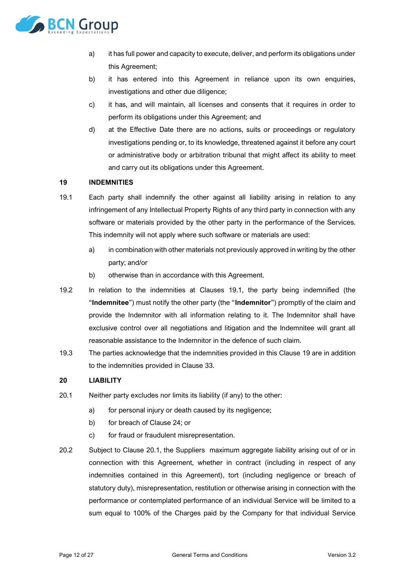

- a) it has full power and capacity to execute, deliver, and perform its obligations under this Agreement;
- b) it has entered into this Agreement in reliance upon its own enquiries, investigations and other due diligence;
- c) it has, and will maintain, all licenses and consents that it requires in order to perform its obligations under this Agreement; and
- d) at the Effective Date there are no actions, suits or proceedings or regulatory investigations pending or, to its knowledge, threatened against it before any court or administrative body or arbitration tribunal that might affect its ability to meet and carry out its obligations under this Agreement.

### <span id="page-11-1"></span>**19 INDEMNITIES**

- <span id="page-11-0"></span>19.1 Each party shall indemnify the other against all liability arising in relation to any infringement of any Intellectual Property Rights of any third party in connection with any software or materials provided by the other party in the performance of the Services. This indemnity will not apply where such software or materials are used:
	- a) in combination with other materials not previously approved in writing by the other party; and/or
	- b) otherwise than in accordance with this Agreement.
- 19.2 In relation to the indemnities at Clauses [19.1,](#page-11-0) the party being indemnified (the "**Indemnitee**") must notify the other party (the "**Indemnitor**") promptly of the claim and provide the Indemnitor with all information relating to it. The Indemnitor shall have exclusive control over all negotiations and litigation and the Indemnitee will grant all reasonable assistance to the Indemnitor in the defence of such claim.
- 19.3 The parties acknowledge that the indemnities provided in this Clause [19](#page-11-1) are in addition to the indemnities provided in Clause [33.](#page-17-0)

### **20 LIABILITY**

- <span id="page-11-2"></span>20.1 Neither party excludes nor limits its liability (if any) to the other:
	- a) for personal injury or death caused by its negligence;
	- b) for breach of Clause [24;](#page-14-0) or
	- c) for fraud or fraudulent misrepresentation.
- 20.2 Subject to Clause [20.1,](#page-11-2) the Suppliers maximum aggregate liability arising out of or in connection with this Agreement, whether in contract (including in respect of any indemnities contained in this Agreement), tort (including negligence or breach of statutory duty), misrepresentation, restitution or otherwise arising in connection with the performance or contemplated performance of an individual Service will be limited to a sum equal to 100% of the Charges paid by the Company for that individual Service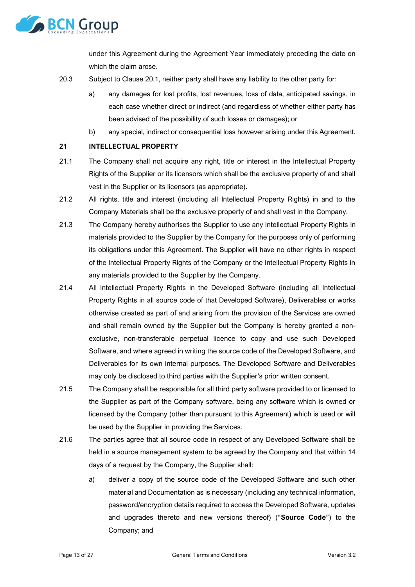

under this Agreement during the Agreement Year immediately preceding the date on which the claim arose.

- 20.3 Subject to Clause [20.1,](#page-11-2) neither party shall have any liability to the other party for:
	- a) any damages for lost profits, lost revenues, loss of data, anticipated savings, in each case whether direct or indirect (and regardless of whether either party has been advised of the possibility of such losses or damages); or
	- b) any special, indirect or consequential loss however arising under this Agreement.

# **21 INTELLECTUAL PROPERTY**

- 21.1 The Company shall not acquire any right, title or interest in the Intellectual Property Rights of the Supplier or its licensors which shall be the exclusive property of and shall vest in the Supplier or its licensors (as appropriate).
- 21.2 All rights, title and interest (including all Intellectual Property Rights) in and to the Company Materials shall be the exclusive property of and shall vest in the Company.
- 21.3 The Company hereby authorises the Supplier to use any Intellectual Property Rights in materials provided to the Supplier by the Company for the purposes only of performing its obligations under this Agreement. The Supplier will have no other rights in respect of the Intellectual Property Rights of the Company or the Intellectual Property Rights in any materials provided to the Supplier by the Company.
- 21.4 All Intellectual Property Rights in the Developed Software (including all Intellectual Property Rights in all source code of that Developed Software), Deliverables or works otherwise created as part of and arising from the provision of the Services are owned and shall remain owned by the Supplier but the Company is hereby granted a nonexclusive, non-transferable perpetual licence to copy and use such Developed Software, and where agreed in writing the source code of the Developed Software, and Deliverables for its own internal purposes. The Developed Software and Deliverables may only be disclosed to third parties with the Supplier's prior written consent.
- 21.5 The Company shall be responsible for all third party software provided to or licensed to the Supplier as part of the Company software, being any software which is owned or licensed by the Company (other than pursuant to this Agreement) which is used or will be used by the Supplier in providing the Services.
- <span id="page-12-0"></span>21.6 The parties agree that all source code in respect of any Developed Software shall be held in a source management system to be agreed by the Company and that within 14 days of a request by the Company, the Supplier shall:
	- a) deliver a copy of the source code of the Developed Software and such other material and Documentation as is necessary (including any technical information, password/encryption details required to access the Developed Software, updates and upgrades thereto and new versions thereof) ("**Source Code**") to the Company; and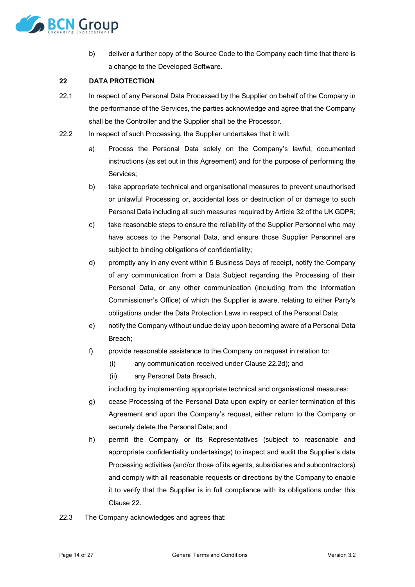

b) deliver a further copy of the Source Code to the Company each time that there is a change to the Developed Software.

# <span id="page-13-1"></span>**22 DATA PROTECTION**

- 22.1 In respect of any Personal Data Processed by the Supplier on behalf of the Company in the performance of the Services, the parties acknowledge and agree that the Company shall be the Controller and the Supplier shall be the Processor.
- <span id="page-13-0"></span>22.2 In respect of such Processing, the Supplier undertakes that it will:
	- a) Process the Personal Data solely on the Company's lawful, documented instructions (as set out in this Agreement) and for the purpose of performing the Services;
	- b) take appropriate technical and organisational measures to prevent unauthorised or unlawful Processing or, accidental loss or destruction of or damage to such Personal Data including all such measures required by Article 32 of the UK GDPR;
	- c) take reasonable steps to ensure the reliability of the Supplier Personnel who may have access to the Personal Data, and ensure those Supplier Personnel are subject to binding obligations of confidentiality;
	- d) promptly any in any event within 5 Business Days of receipt, notify the Company of any communication from a Data Subject regarding the Processing of their Personal Data, or any other communication (including from the Information Commissioner's Office) of which the Supplier is aware, relating to either Party's obligations under the Data Protection Laws in respect of the Personal Data;
	- e) notify the Company without undue delay upon becoming aware of a Personal Data Breach;
	- f) provide reasonable assistance to the Company on request in relation to:
		- (i) any communication received under Claus[e 22.2d\);](#page-13-0) and
		- (ii) any Personal Data Breach,

including by implementing appropriate technical and organisational measures;

- g) cease Processing of the Personal Data upon expiry or earlier termination of this Agreement and upon the Company's request, either return to the Company or securely delete the Personal Data; and
- h) permit the Company or its Representatives (subject to reasonable and appropriate confidentiality undertakings) to inspect and audit the Supplier's data Processing activities (and/or those of its agents, subsidiaries and subcontractors) and comply with all reasonable requests or directions by the Company to enable it to verify that the Supplier is in full compliance with its obligations under this Clause [22.](#page-13-1)
- 22.3 The Company acknowledges and agrees that: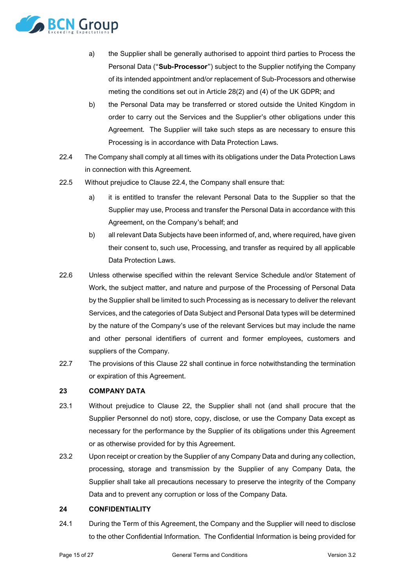

- a) the Supplier shall be generally authorised to appoint third parties to Process the Personal Data ("**Sub-Processor**") subject to the Supplier notifying the Company of its intended appointment and/or replacement of Sub-Processors and otherwise meting the conditions set out in Article 28(2) and (4) of the UK GDPR; and
- b) the Personal Data may be transferred or stored outside the United Kingdom in order to carry out the Services and the Supplier's other obligations under this Agreement. The Supplier will take such steps as are necessary to ensure this Processing is in accordance with Data Protection Laws.
- <span id="page-14-1"></span>22.4 The Company shall comply at all times with its obligations under the Data Protection Laws in connection with this Agreement.
- 22.5 Without prejudice to Clause [22.4,](#page-14-1) the Company shall ensure that:
	- a) it is entitled to transfer the relevant Personal Data to the Supplier so that the Supplier may use, Process and transfer the Personal Data in accordance with this Agreement, on the Company's behalf; and
	- b) all relevant Data Subjects have been informed of, and, where required, have given their consent to, such use, Processing, and transfer as required by all applicable Data Protection Laws.
- 22.6 Unless otherwise specified within the relevant Service Schedule and/or Statement of Work, the subject matter, and nature and purpose of the Processing of Personal Data by the Supplier shall be limited to such Processing as is necessary to deliver the relevant Services, and the categories of Data Subject and Personal Data types will be determined by the nature of the Company's use of the relevant Services but may include the name and other personal identifiers of current and former employees, customers and suppliers of the Company.
- 22.7 The provisions of this Clause [22](#page-13-1) shall continue in force notwithstanding the termination or expiration of this Agreement.

### **23 COMPANY DATA**

- 23.1 Without prejudice to Clause [22,](#page-13-1) the Supplier shall not (and shall procure that the Supplier Personnel do not) store, copy, disclose, or use the Company Data except as necessary for the performance by the Supplier of its obligations under this Agreement or as otherwise provided for by this Agreement.
- 23.2 Upon receipt or creation by the Supplier of any Company Data and during any collection, processing, storage and transmission by the Supplier of any Company Data, the Supplier shall take all precautions necessary to preserve the integrity of the Company Data and to prevent any corruption or loss of the Company Data.

# <span id="page-14-0"></span>**24 CONFIDENTIALITY**

24.1 During the Term of this Agreement, the Company and the Supplier will need to disclose to the other Confidential Information. The Confidential Information is being provided for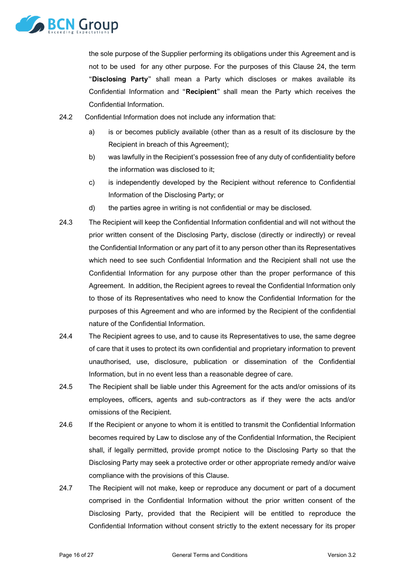

the sole purpose of the Supplier performing its obligations under this Agreement and is not to be used for any other purpose. For the purposes of this Clause [24,](#page-14-0) the term "**Disclosing Party**" shall mean a Party which discloses or makes available its Confidential Information and "**Recipient**" shall mean the Party which receives the Confidential Information.

- 24.2 Confidential Information does not include any information that:
	- a) is or becomes publicly available (other than as a result of its disclosure by the Recipient in breach of this Agreement);
	- b) was lawfully in the Recipient's possession free of any duty of confidentiality before the information was disclosed to it;
	- c) is independently developed by the Recipient without reference to Confidential Information of the Disclosing Party; or
	- d) the parties agree in writing is not confidential or may be disclosed.
- 24.3 The Recipient will keep the Confidential Information confidential and will not without the prior written consent of the Disclosing Party, disclose (directly or indirectly) or reveal the Confidential Information or any part of it to any person other than its Representatives which need to see such Confidential Information and the Recipient shall not use the Confidential Information for any purpose other than the proper performance of this Agreement. In addition, the Recipient agrees to reveal the Confidential Information only to those of its Representatives who need to know the Confidential Information for the purposes of this Agreement and who are informed by the Recipient of the confidential nature of the Confidential Information.
- 24.4 The Recipient agrees to use, and to cause its Representatives to use, the same degree of care that it uses to protect its own confidential and proprietary information to prevent unauthorised, use, disclosure, publication or dissemination of the Confidential Information, but in no event less than a reasonable degree of care.
- 24.5 The Recipient shall be liable under this Agreement for the acts and/or omissions of its employees, officers, agents and sub-contractors as if they were the acts and/or omissions of the Recipient.
- 24.6 If the Recipient or anyone to whom it is entitled to transmit the Confidential Information becomes required by Law to disclose any of the Confidential Information, the Recipient shall, if legally permitted, provide prompt notice to the Disclosing Party so that the Disclosing Party may seek a protective order or other appropriate remedy and/or waive compliance with the provisions of this Clause.
- 24.7 The Recipient will not make, keep or reproduce any document or part of a document comprised in the Confidential Information without the prior written consent of the Disclosing Party, provided that the Recipient will be entitled to reproduce the Confidential Information without consent strictly to the extent necessary for its proper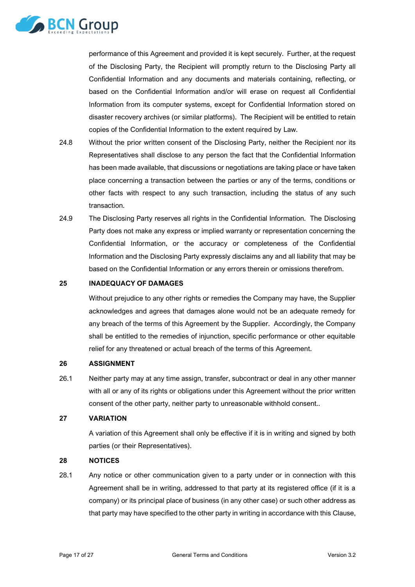

performance of this Agreement and provided it is kept securely. Further, at the request of the Disclosing Party, the Recipient will promptly return to the Disclosing Party all Confidential Information and any documents and materials containing, reflecting, or based on the Confidential Information and/or will erase on request all Confidential Information from its computer systems, except for Confidential Information stored on disaster recovery archives (or similar platforms). The Recipient will be entitled to retain copies of the Confidential Information to the extent required by Law.

- 24.8 Without the prior written consent of the Disclosing Party, neither the Recipient nor its Representatives shall disclose to any person the fact that the Confidential Information has been made available, that discussions or negotiations are taking place or have taken place concerning a transaction between the parties or any of the terms, conditions or other facts with respect to any such transaction, including the status of any such transaction.
- 24.9 The Disclosing Party reserves all rights in the Confidential Information. The Disclosing Party does not make any express or implied warranty or representation concerning the Confidential Information, or the accuracy or completeness of the Confidential Information and the Disclosing Party expressly disclaims any and all liability that may be based on the Confidential Information or any errors therein or omissions therefrom.

#### **25 INADEQUACY OF DAMAGES**

Without prejudice to any other rights or remedies the Company may have, the Supplier acknowledges and agrees that damages alone would not be an adequate remedy for any breach of the terms of this Agreement by the Supplier. Accordingly, the Company shall be entitled to the remedies of injunction, specific performance or other equitable relief for any threatened or actual breach of the terms of this Agreement.

#### **26 ASSIGNMENT**

26.1 Neither party may at any time assign, transfer, subcontract or deal in any other manner with all or any of its rights or obligations under this Agreement without the prior written consent of the other party, neither party to unreasonable withhold consent..

# **27 VARIATION**

A variation of this Agreement shall only be effective if it is in writing and signed by both parties (or their Representatives).

### <span id="page-16-0"></span>**28 NOTICES**

<span id="page-16-1"></span>28.1 Any notice or other communication given to a party under or in connection with this Agreement shall be in writing, addressed to that party at its registered office (if it is a company) or its principal place of business (in any other case) or such other address as that party may have specified to the other party in writing in accordance with this Clause,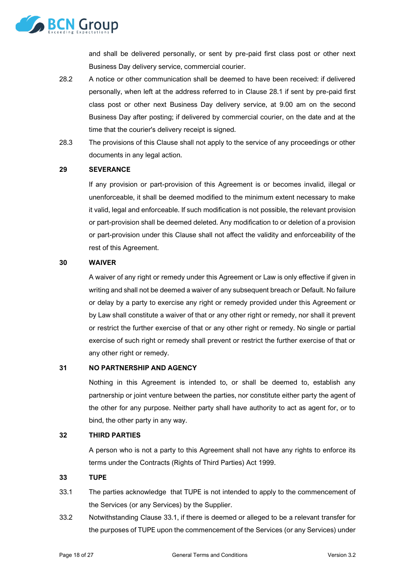

and shall be delivered personally, or sent by pre-paid first class post or other next Business Day delivery service, commercial courier.

- 28.2 A notice or other communication shall be deemed to have been received: if delivered personally, when left at the address referred to in Clause [28.1](#page-16-1) if sent by pre-paid first class post or other next Business Day delivery service, at 9.00 am on the second Business Day after posting; if delivered by commercial courier, on the date and at the time that the courier's delivery receipt is signed.
- 28.3 The provisions of this Clause shall not apply to the service of any proceedings or other documents in any legal action.

#### **29 SEVERANCE**

If any provision or part-provision of this Agreement is or becomes invalid, illegal or unenforceable, it shall be deemed modified to the minimum extent necessary to make it valid, legal and enforceable. If such modification is not possible, the relevant provision or part-provision shall be deemed deleted. Any modification to or deletion of a provision or part-provision under this Clause shall not affect the validity and enforceability of the rest of this Agreement.

#### **30 WAIVER**

A waiver of any right or remedy under this Agreement or Law is only effective if given in writing and shall not be deemed a waiver of any subsequent breach or Default. No failure or delay by a party to exercise any right or remedy provided under this Agreement or by Law shall constitute a waiver of that or any other right or remedy, nor shall it prevent or restrict the further exercise of that or any other right or remedy. No single or partial exercise of such right or remedy shall prevent or restrict the further exercise of that or any other right or remedy.

#### **31 NO PARTNERSHIP AND AGENCY**

Nothing in this Agreement is intended to, or shall be deemed to, establish any partnership or joint venture between the parties, nor constitute either party the agent of the other for any purpose. Neither party shall have authority to act as agent for, or to bind, the other party in any way.

#### **32 THIRD PARTIES**

A person who is not a party to this Agreement shall not have any rights to enforce its terms under the Contracts (Rights of Third Parties) Act 1999.

#### <span id="page-17-0"></span>**33 TUPE**

- <span id="page-17-1"></span>33.1 The parties acknowledge that TUPE is not intended to apply to the commencement of the Services (or any Services) by the Supplier.
- <span id="page-17-2"></span>33.2 Notwithstanding Clause [33.1,](#page-17-1) if there is deemed or alleged to be a relevant transfer for the purposes of TUPE upon the commencement of the Services (or any Services) under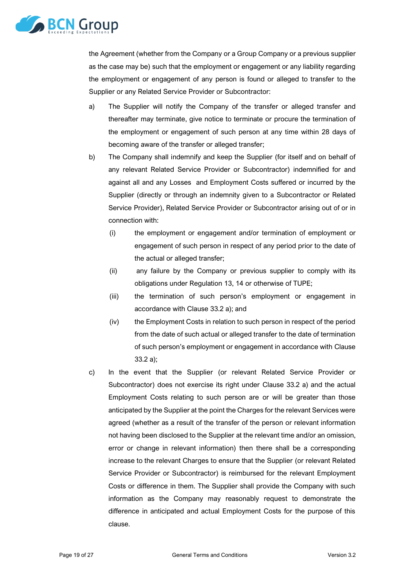

the Agreement (whether from the Company or a Group Company or a previous supplier as the case may be) such that the employment or engagement or any liability regarding the employment or engagement of any person is found or alleged to transfer to the Supplier or any Related Service Provider or Subcontractor:

- <span id="page-18-0"></span>a) The Supplier will notify the Company of the transfer or alleged transfer and thereafter may terminate, give notice to terminate or procure the termination of the employment or engagement of such person at any time within 28 days of becoming aware of the transfer or alleged transfer;
- <span id="page-18-1"></span>b) The Company shall indemnify and keep the Supplier (for itself and on behalf of any relevant Related Service Provider or Subcontractor) indemnified for and against all and any Losses and Employment Costs suffered or incurred by the Supplier (directly or through an indemnity given to a Subcontractor or Related Service Provider), Related Service Provider or Subcontractor arising out of or in connection with:
	- (i) the employment or engagement and/or termination of employment or engagement of such person in respect of any period prior to the date of the actual or alleged transfer;
	- (ii) any failure by the Company or previous supplier to comply with its obligations under Regulation 13, 14 or otherwise of TUPE;
	- (iii) the termination of such person's employment or engagement in accordance with Clause [33.2](#page-17-2) [a\);](#page-18-0) and
	- (iv) the Employment Costs in relation to such person in respect of the period from the date of such actual or alleged transfer to the date of termination of such person's employment or engagement in accordance with Clause [33.2](#page-17-2) [a\);](#page-18-0)
- c) In the event that the Supplier (or relevant Related Service Provider or Subcontractor) does not exercise its right under Clause [33.2](#page-17-2) [a\)](#page-18-0) and the actual Employment Costs relating to such person are or will be greater than those anticipated by the Supplier at the point the Charges for the relevant Services were agreed (whether as a result of the transfer of the person or relevant information not having been disclosed to the Supplier at the relevant time and/or an omission, error or change in relevant information) then there shall be a corresponding increase to the relevant Charges to ensure that the Supplier (or relevant Related Service Provider or Subcontractor) is reimbursed for the relevant Employment Costs or difference in them. The Supplier shall provide the Company with such information as the Company may reasonably request to demonstrate the difference in anticipated and actual Employment Costs for the purpose of this clause.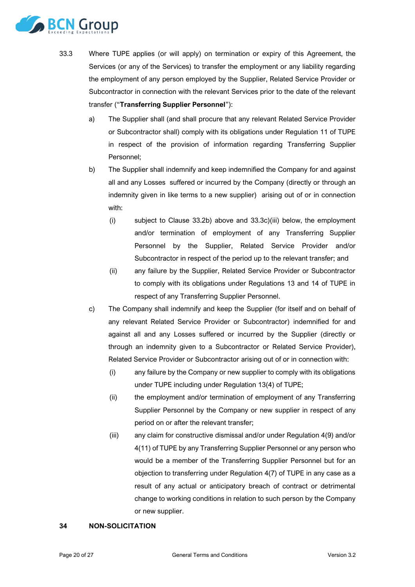

- <span id="page-19-0"></span>33.3 Where TUPE applies (or will apply) on termination or expiry of this Agreement, the Services (or any of the Services) to transfer the employment or any liability regarding the employment of any person employed by the Supplier, Related Service Provider or Subcontractor in connection with the relevant Services prior to the date of the relevant transfer ("**Transferring Supplier Personnel**"):
	- a) The Supplier shall (and shall procure that any relevant Related Service Provider or Subcontractor shall) comply with its obligations under Regulation 11 of TUPE in respect of the provision of information regarding Transferring Supplier Personnel;
	- b) The Supplier shall indemnify and keep indemnified the Company for and against all and any Losses suffered or incurred by the Company (directly or through an indemnity given in like terms to a new supplier) arising out of or in connection with:
		- (i) subject to Clause [33.2b\)](#page-18-1) above and [33.3](#page-19-0)[c\)\(iii\)](#page-19-1) below, the employment and/or termination of employment of any Transferring Supplier Personnel by the Supplier, Related Service Provider and/or Subcontractor in respect of the period up to the relevant transfer; and
		- (ii) any failure by the Supplier, Related Service Provider or Subcontractor to comply with its obligations under Regulations 13 and 14 of TUPE in respect of any Transferring Supplier Personnel.
	- c) The Company shall indemnify and keep the Supplier (for itself and on behalf of any relevant Related Service Provider or Subcontractor) indemnified for and against all and any Losses suffered or incurred by the Supplier (directly or through an indemnity given to a Subcontractor or Related Service Provider), Related Service Provider or Subcontractor arising out of or in connection with:
		- (i) any failure by the Company or new supplier to comply with its obligations under TUPE including under Regulation 13(4) of TUPE;
		- (ii) the employment and/or termination of employment of any Transferring Supplier Personnel by the Company or new supplier in respect of any period on or after the relevant transfer;
		- (iii) any claim for constructive dismissal and/or under Regulation 4(9) and/or 4(11) of TUPE by any Transferring Supplier Personnel or any person who would be a member of the Transferring Supplier Personnel but for an objection to transferring under Regulation 4(7) of TUPE in any case as a result of any actual or anticipatory breach of contract or detrimental change to working conditions in relation to such person by the Company or new supplier.

#### <span id="page-19-1"></span>**34 NON-SOLICITATION**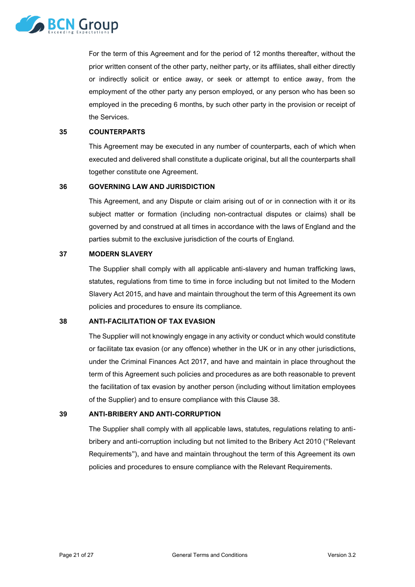

For the term of this Agreement and for the period of 12 months thereafter, without the prior written consent of the other party, neither party, or its affiliates, shall either directly or indirectly solicit or entice away, or seek or attempt to entice away, from the employment of the other party any person employed, or any person who has been so employed in the preceding 6 months, by such other party in the provision or receipt of the Services.

#### **35 COUNTERPARTS**

This Agreement may be executed in any number of counterparts, each of which when executed and delivered shall constitute a duplicate original, but all the counterparts shall together constitute one Agreement.

### **36 GOVERNING LAW AND JURISDICTION**

This Agreement, and any Dispute or claim arising out of or in connection with it or its subject matter or formation (including non-contractual disputes or claims) shall be governed by and construed at all times in accordance with the laws of England and the parties submit to the exclusive jurisdiction of the courts of England.

#### **37 MODERN SLAVERY**

The Supplier shall comply with all applicable anti-slavery and human trafficking laws, statutes, regulations from time to time in force including but not limited to the Modern Slavery Act 2015, and have and maintain throughout the term of this Agreement its own policies and procedures to ensure its compliance.

### **38 ANTI-FACILITATION OF TAX EVASION**

The Supplier will not knowingly engage in any activity or conduct which would constitute or facilitate tax evasion (or any offence) whether in the UK or in any other jurisdictions, under the Criminal Finances Act 2017, and have and maintain in place throughout the term of this Agreement such policies and procedures as are both reasonable to prevent the facilitation of tax evasion by another person (including without limitation employees of the Supplier) and to ensure compliance with this Clause 38.

# **39 ANTI-BRIBERY AND ANTI-CORRUPTION**

The Supplier shall comply with all applicable laws, statutes, regulations relating to antibribery and anti-corruption including but not limited to the Bribery Act 2010 ("Relevant Requirements"), and have and maintain throughout the term of this Agreement its own policies and procedures to ensure compliance with the Relevant Requirements.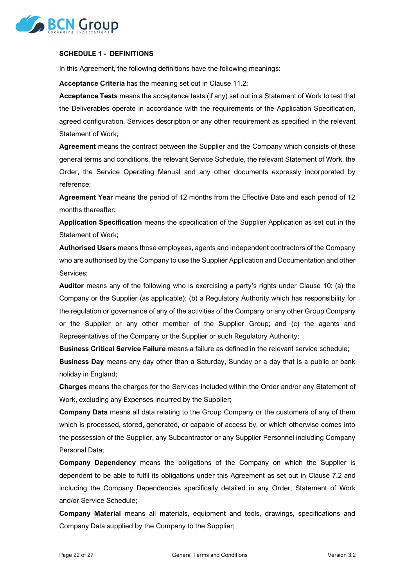

#### **SCHEDULE 1 - DEFINITIONS**

In this Agreement, the following definitions have the following meanings:

**Acceptance Criteria** has the meaning set out in Clause [11.2;](#page-6-2)

**Acceptance Tests** means the acceptance tests (if any) set out in a Statement of Work to test that the Deliverables operate in accordance with the requirements of the Application Specification, agreed configuration, Services description or any other requirement as specified in the relevant Statement of Work;

**Agreement** means the contract between the Supplier and the Company which consists of these general terms and conditions, the relevant Service Schedule, the relevant Statement of Work, the Order, the Service Operating Manual and any other documents expressly incorporated by reference;

**Agreement Year** means the period of 12 months from the Effective Date and each period of 12 months thereafter;

**Application Specification** means the specification of the Supplier Application as set out in the Statement of Work;

**Authorised Users** means those employees, agents and independent contractors of the Company who are authorised by the Company to use the Supplier Application and Documentation and other Services;

**Auditor** means any of the following who is exercising a party's rights under Clause [10:](#page-5-2) (a) the Company or the Supplier (as applicable); (b) a Regulatory Authority which has responsibility for the regulation or governance of any of the activities of the Company or any other Group Company or the Supplier or any other member of the Supplier Group; and (c) the agents and Representatives of the Company or the Supplier or such Regulatory Authority;

**Business Critical Service Failure** means a failure as defined in the relevant service schedule;

**Business Day** means any day other than a Saturday, Sunday or a day that is a public or bank holiday in England;

**Charges** means the charges for the Services included within the Order and/or any Statement of Work, excluding any Expenses incurred by the Supplier;

**Company Data** means all data relating to the Group Company or the customers of any of them which is processed, stored, generated, or capable of access by, or which otherwise comes into the possession of the Supplier, any Subcontractor or any Supplier Personnel including Company Personal Data;

**Company Dependency** means the obligations of the Company on which the Supplier is dependent to be able to fulfil its obligations under this Agreement as set out in Clause [7.2](#page-3-0) and including the Company Dependencies specifically detailed in any Order, Statement of Work and/or Service Schedule;

**Company Material** means all materials, equipment and tools, drawings, specifications and Company Data supplied by the Company to the Supplier;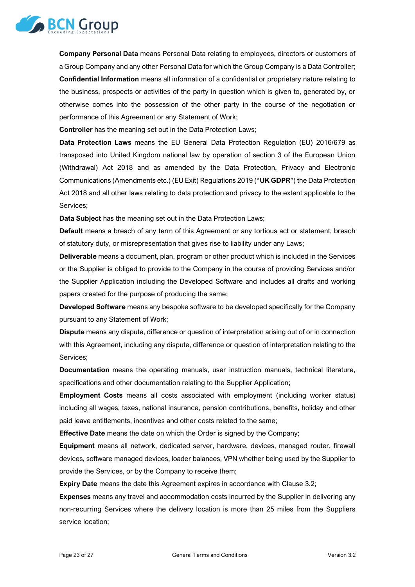

**Company Personal Data** means Personal Data relating to employees, directors or customers of a Group Company and any other Personal Data for which the Group Company is a Data Controller; **Confidential Information** means all information of a confidential or proprietary nature relating to the business, prospects or activities of the party in question which is given to, generated by, or otherwise comes into the possession of the other party in the course of the negotiation or performance of this Agreement or any Statement of Work;

**Controller** has the meaning set out in the Data Protection Laws;

**Data Protection Laws** means the EU General Data Protection Regulation (EU) 2016/679 as transposed into United Kingdom national law by operation of section 3 of the European Union (Withdrawal) Act 2018 and as amended by the Data Protection, Privacy and Electronic Communications (Amendments etc.) (EU Exit) Regulations 2019 ("**UK GDPR**") the Data Protection Act 2018 and all other laws relating to data protection and privacy to the extent applicable to the Services;

**Data Subject** has the meaning set out in the Data Protection Laws;

**Default** means a breach of any term of this Agreement or any tortious act or statement, breach of statutory duty, or misrepresentation that gives rise to liability under any Laws;

**Deliverable** means a document, plan, program or other product which is included in the Services or the Supplier is obliged to provide to the Company in the course of providing Services and/or the Supplier Application including the Developed Software and includes all drafts and working papers created for the purpose of producing the same;

**Developed Software** means any bespoke software to be developed specifically for the Company pursuant to any Statement of Work;

**Dispute** means any dispute, difference or question of interpretation arising out of or in connection with this Agreement, including any dispute, difference or question of interpretation relating to the Services;

**Documentation** means the operating manuals, user instruction manuals, technical literature, specifications and other documentation relating to the Supplier Application;

**Employment Costs** means all costs associated with employment (including worker status) including all wages, taxes, national insurance, pension contributions, benefits, holiday and other paid leave entitlements, incentives and other costs related to the same;

**Effective Date** means the date on which the Order is signed by the Company;

**Equipment** means all network, dedicated server, hardware, devices, managed router, firewall devices, software managed devices, loader balances, VPN whether being used by the Supplier to provide the Services, or by the Company to receive them;

**Expiry Date** means the date this Agreement expires in accordance with Clause [3.2;](#page-2-1)

**Expenses** means any travel and accommodation costs incurred by the Supplier in delivering any non-recurring Services where the delivery location is more than 25 miles from the Suppliers service location;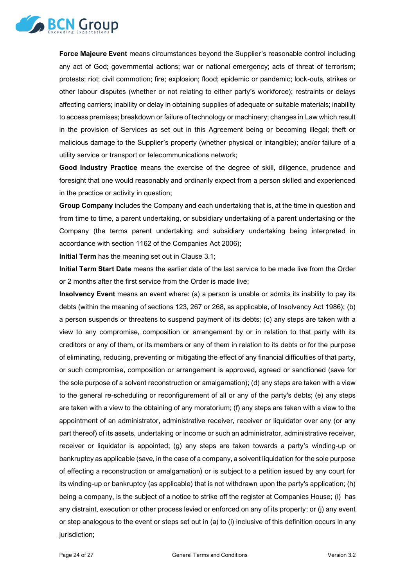

**Force Majeure Event** means circumstances beyond the Supplier's reasonable control including any act of God; governmental actions; war or national emergency; acts of threat of terrorism; protests; riot; civil commotion; fire; explosion; flood; epidemic or pandemic; lock-outs, strikes or other labour disputes (whether or not relating to either party's workforce); restraints or delays affecting carriers; inability or delay in obtaining supplies of adequate or suitable materials; inability to access premises; breakdown or failure of technology or machinery; changes in Law which result in the provision of Services as set out in this Agreement being or becoming illegal; theft or malicious damage to the Supplier's property (whether physical or intangible); and/or failure of a utility service or transport or telecommunications network;

**Good Industry Practice** means the exercise of the degree of skill, diligence, prudence and foresight that one would reasonably and ordinarily expect from a person skilled and experienced in the practice or activity in question;

**Group Company** includes the Company and each undertaking that is, at the time in question and from time to time, a parent undertaking, or subsidiary undertaking of a parent undertaking or the Company (the terms parent undertaking and subsidiary undertaking being interpreted in accordance with section 1162 of the Companies Act 2006);

**Initial Term** has the meaning set out in Clause [3.1;](#page-1-0)

**Initial Term Start Date** means the earlier date of the last service to be made live from the Order or 2 months after the first service from the Order is made live;

**Insolvency Event** means an event where: (a) a person is unable or admits its inability to pay its debts (within the meaning of sections 123, 267 or 268, as applicable, of Insolvency Act 1986); (b) a person suspends or threatens to suspend payment of its debts; (c) any steps are taken with a view to any compromise, composition or arrangement by or in relation to that party with its creditors or any of them, or its members or any of them in relation to its debts or for the purpose of eliminating, reducing, preventing or mitigating the effect of any financial difficulties of that party, or such compromise, composition or arrangement is approved, agreed or sanctioned (save for the sole purpose of a solvent reconstruction or amalgamation); (d) any steps are taken with a view to the general re-scheduling or reconfigurement of all or any of the party's debts; (e) any steps are taken with a view to the obtaining of any moratorium; (f) any steps are taken with a view to the appointment of an administrator, administrative receiver, receiver or liquidator over any (or any part thereof) of its assets, undertaking or income or such an administrator, administrative receiver, receiver or liquidator is appointed; (g) any steps are taken towards a party's winding-up or bankruptcy as applicable (save, in the case of a company, a solvent liquidation for the sole purpose of effecting a reconstruction or amalgamation) or is subject to a petition issued by any court for its winding-up or bankruptcy (as applicable) that is not withdrawn upon the party's application; (h) being a company, is the subject of a notice to strike off the register at Companies House; (i) has any distraint, execution or other process levied or enforced on any of its property; or (j) any event or step analogous to the event or steps set out in (a) to (i) inclusive of this definition occurs in any jurisdiction;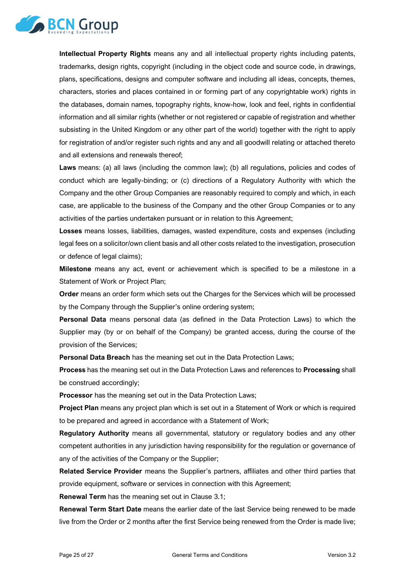

**Intellectual Property Rights** means any and all intellectual property rights including patents, trademarks, design rights, copyright (including in the object code and source code, in drawings, plans, specifications, designs and computer software and including all ideas, concepts, themes, characters, stories and places contained in or forming part of any copyrightable work) rights in the databases, domain names, topography rights, know-how, look and feel, rights in confidential information and all similar rights (whether or not registered or capable of registration and whether subsisting in the United Kingdom or any other part of the world) together with the right to apply for registration of and/or register such rights and any and all goodwill relating or attached thereto and all extensions and renewals thereof;

**Laws** means: (a) all laws (including the common law); (b) all regulations, policies and codes of conduct which are legally-binding; or (c) directions of a Regulatory Authority with which the Company and the other Group Companies are reasonably required to comply and which, in each case, are applicable to the business of the Company and the other Group Companies or to any activities of the parties undertaken pursuant or in relation to this Agreement;

**Losses** means losses, liabilities, damages, wasted expenditure, costs and expenses (including legal fees on a solicitor/own client basis and all other costs related to the investigation, prosecution or defence of legal claims);

**Milestone** means any act, event or achievement which is specified to be a milestone in a Statement of Work or Project Plan;

**Order** means an order form which sets out the Charges for the Services which will be processed by the Company through the Supplier's online ordering system;

**Personal Data** means personal data (as defined in the Data Protection Laws) to which the Supplier may (by or on behalf of the Company) be granted access, during the course of the provision of the Services;

**Personal Data Breach** has the meaning set out in the Data Protection Laws;

**Process** has the meaning set out in the Data Protection Laws and references to **Processing** shall be construed accordingly;

**Processor** has the meaning set out in the Data Protection Laws;

**Project Plan** means any project plan which is set out in a Statement of Work or which is required to be prepared and agreed in accordance with a Statement of Work;

**Regulatory Authority** means all governmental, statutory or regulatory bodies and any other competent authorities in any jurisdiction having responsibility for the regulation or governance of any of the activities of the Company or the Supplier;

**Related Service Provider** means the Supplier's partners, affiliates and other third parties that provide equipment, software or services in connection with this Agreement;

**Renewal Term** has the meaning set out in Clause [3.1;](#page-1-0)

**Renewal Term Start Date** means the earlier date of the last Service being renewed to be made live from the Order or 2 months after the first Service being renewed from the Order is made live;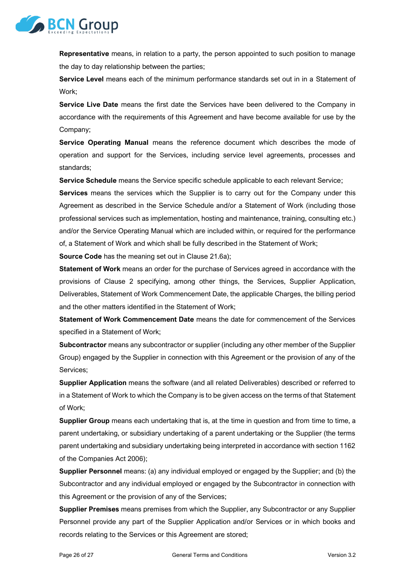

**Representative** means, in relation to a party, the person appointed to such position to manage the day to day relationship between the parties;

**Service Level** means each of the minimum performance standards set out in in a Statement of Work;

**Service Live Date** means the first date the Services have been delivered to the Company in accordance with the requirements of this Agreement and have become available for use by the Company;

**Service Operating Manual** means the reference document which describes the mode of operation and support for the Services, including service level agreements, processes and standards;

**Service Schedule** means the Service specific schedule applicable to each relevant Service;

**Services** means the services which the Supplier is to carry out for the Company under this Agreement as described in the Service Schedule and/or a Statement of Work (including those professional services such as implementation, hosting and maintenance, training, consulting etc.) and/or the Service Operating Manual which are included within, or required for the performance of, a Statement of Work and which shall be fully described in the Statement of Work;

**Source Code** has the meaning set out in Clause [21.6a\);](#page-12-0)

**Statement of Work** means an order for the purchase of Services agreed in accordance with the provisions of Clause [2](#page-1-1) specifying, among other things, the Services, Supplier Application, Deliverables, Statement of Work Commencement Date, the applicable Charges, the billing period and the other matters identified in the Statement of Work;

**Statement of Work Commencement Date** means the date for commencement of the Services specified in a Statement of Work;

**Subcontractor** means any subcontractor or supplier (including any other member of the Supplier Group) engaged by the Supplier in connection with this Agreement or the provision of any of the Services;

**Supplier Application** means the software (and all related Deliverables) described or referred to in a Statement of Work to which the Company is to be given access on the terms of that Statement of Work;

**Supplier Group** means each undertaking that is, at the time in question and from time to time, a parent undertaking, or subsidiary undertaking of a parent undertaking or the Supplier (the terms parent undertaking and subsidiary undertaking being interpreted in accordance with section 1162 of the Companies Act 2006);

**Supplier Personnel** means: (a) any individual employed or engaged by the Supplier; and (b) the Subcontractor and any individual employed or engaged by the Subcontractor in connection with this Agreement or the provision of any of the Services;

**Supplier Premises** means premises from which the Supplier, any Subcontractor or any Supplier Personnel provide any part of the Supplier Application and/or Services or in which books and records relating to the Services or this Agreement are stored;